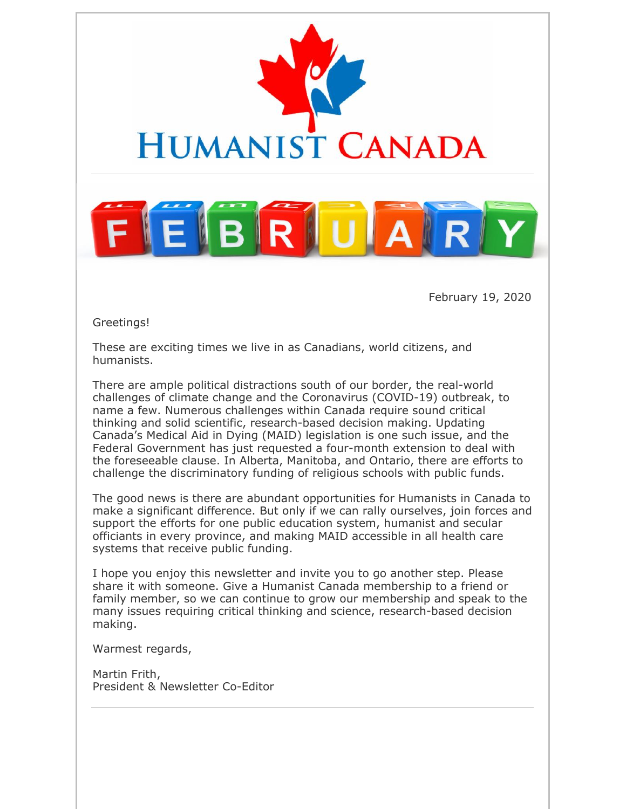

February 19, 2020

Greetings!

These are exciting times we live in as Canadians, world citizens, and humanists.

There are ample political distractions south of our border, the real-world challenges of climate change and the Coronavirus (COVID-19) outbreak, to name a few. Numerous challenges within Canada require sound critical thinking and solid scientific, research-based decision making. Updating Canada's Medical Aid in Dying (MAID) legislation is one such issue, and the Federal Government has just requested a four-month extension to deal with the foreseeable clause. In Alberta, Manitoba, and Ontario, there are efforts to challenge the discriminatory funding of religious schools with public funds.

The good news is there are abundant opportunities for Humanists in Canada to make a significant difference. But only if we can rally ourselves, join forces and support the efforts for one public education system, humanist and secular officiants in every province, and making MAID accessible in all health care systems that receive public funding.

I hope you enjoy this newsletter and invite you to go another step. Please share it with someone. Give a Humanist Canada membership to a friend or family member, so we can continue to grow our membership and speak to the many issues requiring critical thinking and science, research-based decision making.

Warmest regards,

Martin Frith, President & Newsletter Co-Editor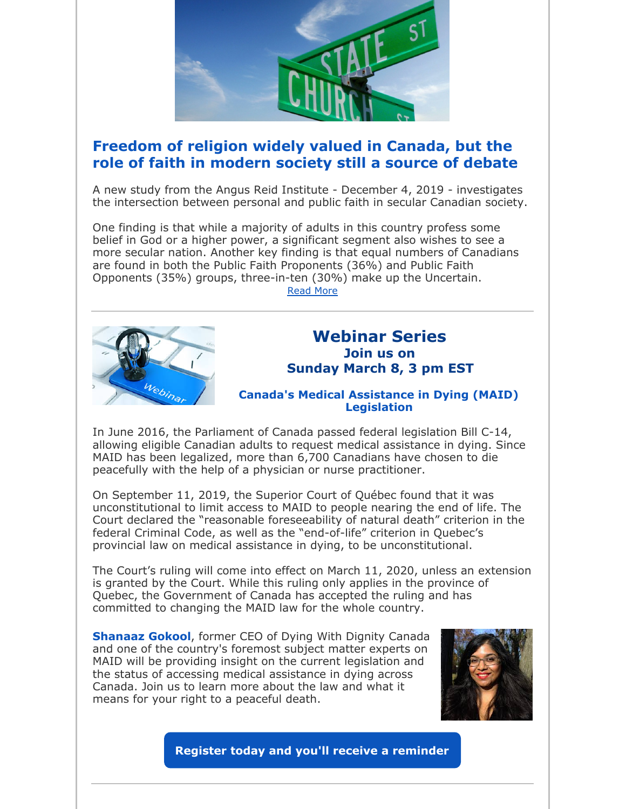

## **Freedom of religion widely valued in Canada, but the role of faith in modern society still a source of debate**

A new study from the Angus Reid Institute - December 4, 2019 - investigates the intersection between personal and public faith in secular Canadian society.

One finding is that while a majority of adults in this country profess some belief in God or a higher power, a significant segment also wishes to see a more secular nation. Another key finding is that equal numbers of Canadians are found in both the Public Faith Proponents (36%) and Public Faith Opponents (35%) groups, three-in-ten (30%) make up the Uncertain.

Read More



## **Webinar Series Join us on Sunday March 8, 3 pm EST**

### **Canada's Medical Assistance in Dying (MAID) Legislation**

In June 2016, the Parliament of Canada passed federal legislation Bill C-14, allowing eligible Canadian adults to request medical assistance in dying. Since MAID has been legalized, more than 6,700 Canadians have chosen to die peacefully with the help of a physician or nurse practitioner.

On September 11, 2019, the Superior Court of Québec found that it was unconstitutional to limit access to MAID to people nearing the end of life. The Court declared the "reasonable foreseeability of natural death" criterion in the federal Criminal Code, as well as the "end-of-life" criterion in Quebec's provincial law on medical assistance in dying, to be unconstitutional.

The Court's ruling will come into effect on March 11, 2020, unless an extension is granted by the Court. While this ruling only applies in the province of Quebec, the Government of Canada has accepted the ruling and has committed to changing the MAID law for the whole country.

**Shanaaz Gokool**, former CEO of Dying With Dignity Canada and one of the country's foremost subject matter experts on MAID will be providing insight on the current legislation and the status of accessing medical assistance in dying across Canada. Join us to learn more about the law and what it means for your right to a peaceful death.



**Register today and you'll receive a reminder**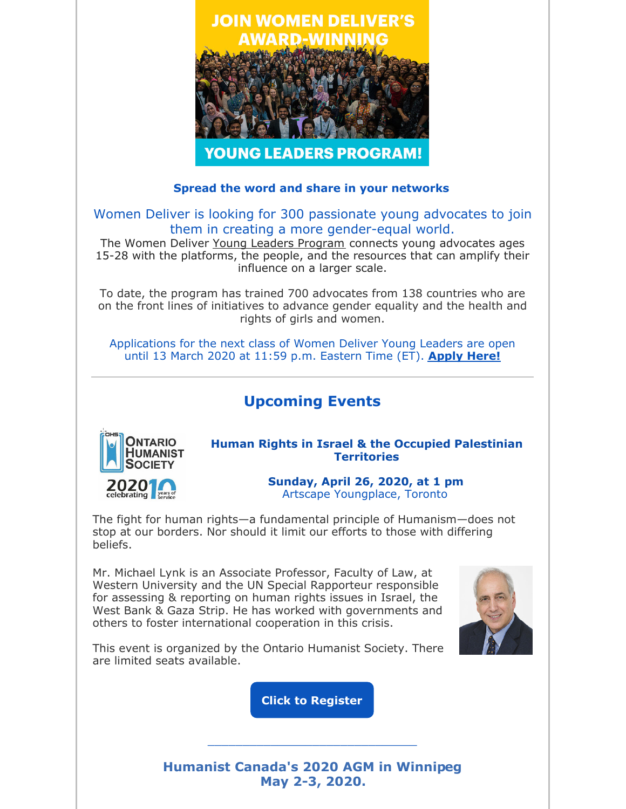

### **Spread the word and share in your networks**

Women Deliver is looking for 300 passionate young advocates to join them in creating a more gender-equal world.

The Women Deliver Young Leaders Program connects young advocates ages 15-28 with the platforms, the people, and the resources that can amplify their influence on a larger scale.

To date, the program has trained 700 advocates from 138 countries who are on the front lines of initiatives to advance gender equality and the health and rights of girls and women.

Applications for the next class of Women Deliver Young Leaders are open until 13 March 2020 at 11:59 p.m. Eastern Time (ET). **Apply Here!**

# **Upcoming Events**



**Human Rights in Israel & the Occupied Palestinian Territories**

> **Sunday, April 26, 2020, at 1 pm** Artscape Youngplace, Toronto

The fight for human rights—a fundamental principle of Humanism—does not stop at our borders. Nor should it limit our efforts to those with differing beliefs.

Mr. Michael Lynk is an Associate Professor, Faculty of Law, at Western University and the UN Special Rapporteur responsible for assessing & reporting on human rights issues in Israel, the West Bank & Gaza Strip. He has worked with governments and others to foster international cooperation in this crisis.



This event is organized by the Ontario Humanist Society. There are limited seats available.

**Click to Register**

**Humanist Canada's 2020 AGM in Winnipeg May 2-3, 2020.**

\_\_\_\_\_\_\_\_\_\_\_\_\_\_\_\_\_\_\_\_\_\_\_\_\_\_\_\_\_\_